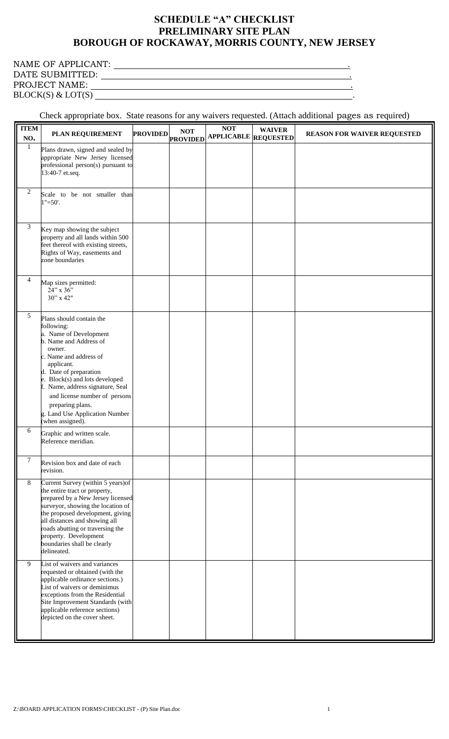## **SCHEDULE "A" CHECKLIST PRELIMINARY SITE PLAN BOROUGH OF ROCKAWAY, MORRIS COUNTY, NEW JERSEY**

## NAME OF APPLICANT: .

DATE SUBMITTED: . PROJECT NAME: .

 $BLOCK(S) \&$   $LOT(S)$   $\qquad \qquad$ 

## Check appropriate box. State reasons for any waivers requested. (Attach additional pages as required)

| <b>ITEM</b><br>NO. | PLAN REQUIREMENT                                                                                                                                                                                                                                                                                                                                                                                  | <b>PROVIDED</b> | <b>NOT</b><br><b>PROVIDED</b> | <b>NOT</b><br><b>APPLICABLE</b> | <b>WAIVER</b><br><b>REQUESTED</b> | <b>REASON FOR WAIVER REQUESTED</b> |
|--------------------|---------------------------------------------------------------------------------------------------------------------------------------------------------------------------------------------------------------------------------------------------------------------------------------------------------------------------------------------------------------------------------------------------|-----------------|-------------------------------|---------------------------------|-----------------------------------|------------------------------------|
| 1                  | Plans drawn, signed and sealed by<br>appropriate New Jersey licensed<br>professional person(s) pursuant to<br>13:40-7 et.seq.                                                                                                                                                                                                                                                                     |                 |                               |                                 |                                   |                                    |
| $\overline{2}$     | Scale to be not smaller than<br>$1" = 50'.$                                                                                                                                                                                                                                                                                                                                                       |                 |                               |                                 |                                   |                                    |
| 3                  | Key map showing the subject<br>property and all lands within 500<br>feet thereof with existing streets,<br>Rights of Way, easements and<br>zone boundaries                                                                                                                                                                                                                                        |                 |                               |                                 |                                   |                                    |
| 4                  | Map sizes permitted:<br>24" x 36"<br>30" x 42"                                                                                                                                                                                                                                                                                                                                                    |                 |                               |                                 |                                   |                                    |
| 5                  | Plans should contain the<br>following:<br>a. Name of Development<br>b. Name and Address of<br>owner.<br>c. Name and address of<br>applicant.<br>d. Date of preparation<br>e. Block(s) and lots developed<br>f. Name, address signature, Seal<br>and license number of persons<br>preparing plans.<br>g. Land Use Application Number<br>(when assigned).                                           |                 |                               |                                 |                                   |                                    |
| 6                  | Graphic and written scale.<br>Reference meridian.                                                                                                                                                                                                                                                                                                                                                 |                 |                               |                                 |                                   |                                    |
| $\overline{7}$     | Revision box and date of each<br>revision.                                                                                                                                                                                                                                                                                                                                                        |                 |                               |                                 |                                   |                                    |
| 8<br>9             | Current Survey (within 5 years) of<br>the entire tract or property,<br>prepared by a New Jersey licensed<br>surveyor, showing the location of<br>the proposed development, giving<br>all distances and showing all<br>roads abutting or traversing the<br>property. Development<br>boundaries shall be clearly<br>delineated.<br>List of waivers and variances<br>requested or obtained (with the |                 |                               |                                 |                                   |                                    |
|                    | applicable ordinance sections.)<br>List of waivers or deminimus<br>exceptions from the Residential<br>Site Improvement Standards (with<br>applicable reference sections)<br>depicted on the cover sheet.                                                                                                                                                                                          |                 |                               |                                 |                                   |                                    |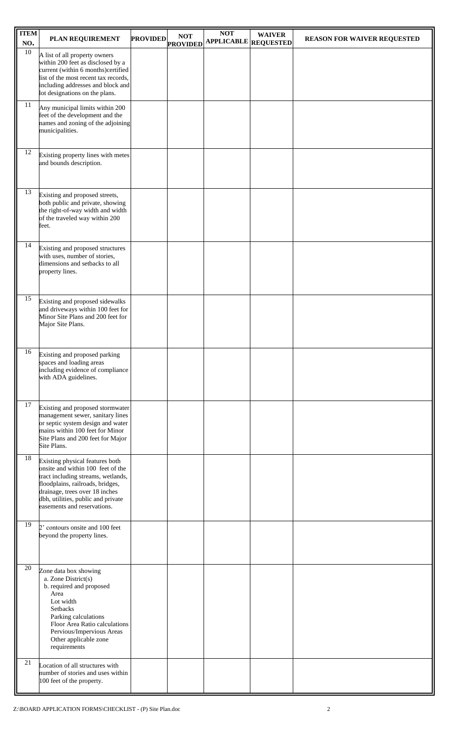| <b>ITEM</b><br>NO. | PLAN REQUIREMENT                                                                                                                                                                                                                                      | <b>PROVIDED</b> | <b>NOT</b><br><b>PROVIDED</b> | <b>NOT</b><br><b>APPLICABLE</b> REQUESTED | <b>WAIVER</b> | <b>REASON FOR WAIVER REQUESTED</b> |
|--------------------|-------------------------------------------------------------------------------------------------------------------------------------------------------------------------------------------------------------------------------------------------------|-----------------|-------------------------------|-------------------------------------------|---------------|------------------------------------|
| 10                 | A list of all property owners<br>within 200 feet as disclosed by a<br>current (within 6 months)certified<br>list of the most recent tax records,<br>including addresses and block and<br>lot designations on the plans.                               |                 |                               |                                           |               |                                    |
| 11                 | Any municipal limits within 200<br>feet of the development and the<br>names and zoning of the adjoining<br>municipalities.                                                                                                                            |                 |                               |                                           |               |                                    |
| 12                 | Existing property lines with metes<br>and bounds description.                                                                                                                                                                                         |                 |                               |                                           |               |                                    |
| 13                 | Existing and proposed streets,<br>both public and private, showing<br>the right-of-way width and width<br>of the traveled way within 200<br>feet.                                                                                                     |                 |                               |                                           |               |                                    |
| 14                 | Existing and proposed structures<br>with uses, number of stories,<br>dimensions and setbacks to all<br>property lines.                                                                                                                                |                 |                               |                                           |               |                                    |
| 15                 | Existing and proposed sidewalks<br>and driveways within 100 feet for<br>Minor Site Plans and 200 feet for<br>Major Site Plans.                                                                                                                        |                 |                               |                                           |               |                                    |
| 16                 | Existing and proposed parking<br>spaces and loading areas<br>including evidence of compliance<br>with ADA guidelines.                                                                                                                                 |                 |                               |                                           |               |                                    |
| 17                 | Existing and proposed stormwater<br>management sewer, sanitary lines<br>or septic system design and water<br>mains within 100 feet for Minor<br>Site Plans and 200 feet for Major<br>Site Plans.                                                      |                 |                               |                                           |               |                                    |
| 18                 | Existing physical features both<br>onsite and within 100 feet of the<br>tract including streams, wetlands,<br>floodplains, railroads, bridges,<br>drainage, trees over 18 inches<br>dbh, utilities, public and private<br>easements and reservations. |                 |                               |                                           |               |                                    |
| 19                 | 2' contours onsite and 100 feet<br>beyond the property lines.                                                                                                                                                                                         |                 |                               |                                           |               |                                    |
| 20                 | Zone data box showing<br>a. Zone District(s)<br>b. required and proposed<br>Area<br>Lot width<br><b>Setbacks</b><br>Parking calculations<br>Floor Area Ratio calculations<br>Pervious/Impervious Areas<br>Other applicable zone<br>requirements       |                 |                               |                                           |               |                                    |
| 21                 | Location of all structures with<br>number of stories and uses within<br>100 feet of the property.                                                                                                                                                     |                 |                               |                                           |               |                                    |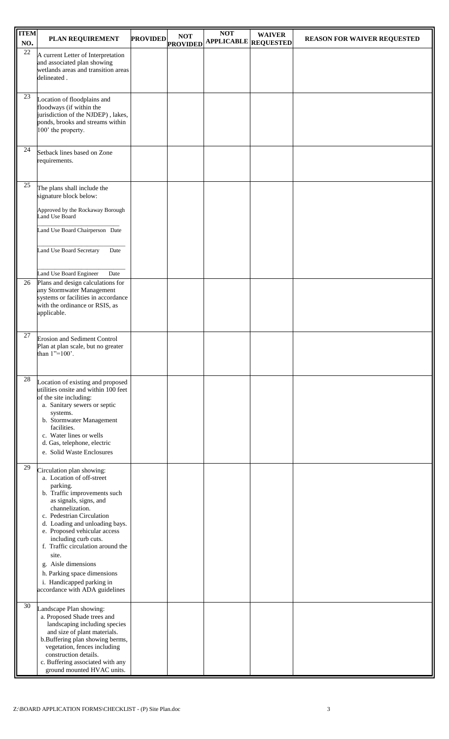| <b>ITEM</b><br>NO. | PLAN REQUIREMENT                                                                                                                                                                                                                                                                                                                                                                                                                          | <b>PROVIDED</b> | <b>NOT</b><br><b>PROVIDED</b> | <b>NOT</b><br><b>APPLICABLE</b> REQUESTED | <b>WAIVER</b> | <b>REASON FOR WAIVER REQUESTED</b> |
|--------------------|-------------------------------------------------------------------------------------------------------------------------------------------------------------------------------------------------------------------------------------------------------------------------------------------------------------------------------------------------------------------------------------------------------------------------------------------|-----------------|-------------------------------|-------------------------------------------|---------------|------------------------------------|
| $\overline{22}$    | A current Letter of Interpretation<br>and associated plan showing<br>wetlands areas and transition areas<br>delineated.                                                                                                                                                                                                                                                                                                                   |                 |                               |                                           |               |                                    |
| 23                 | Location of floodplains and<br>floodways (if within the<br>jurisdiction of the NJDEP), lakes,<br>ponds, brooks and streams within<br>100' the property.                                                                                                                                                                                                                                                                                   |                 |                               |                                           |               |                                    |
| 24                 | Setback lines based on Zone<br>requirements.                                                                                                                                                                                                                                                                                                                                                                                              |                 |                               |                                           |               |                                    |
| 25                 | The plans shall include the<br>signature block below:                                                                                                                                                                                                                                                                                                                                                                                     |                 |                               |                                           |               |                                    |
|                    | Approved by the Rockaway Borough<br>Land Use Board                                                                                                                                                                                                                                                                                                                                                                                        |                 |                               |                                           |               |                                    |
|                    | Land Use Board Chairperson Date                                                                                                                                                                                                                                                                                                                                                                                                           |                 |                               |                                           |               |                                    |
|                    | Land Use Board Secretary<br>Date                                                                                                                                                                                                                                                                                                                                                                                                          |                 |                               |                                           |               |                                    |
| 26                 | Land Use Board Engineer<br>Date<br>Plans and design calculations for                                                                                                                                                                                                                                                                                                                                                                      |                 |                               |                                           |               |                                    |
|                    | any Stormwater Management<br>systems or facilities in accordance<br>with the ordinance or RSIS, as<br>applicable.                                                                                                                                                                                                                                                                                                                         |                 |                               |                                           |               |                                    |
| 27                 | <b>Erosion and Sediment Control</b><br>Plan at plan scale, but no greater<br>than $1"=100'$ .                                                                                                                                                                                                                                                                                                                                             |                 |                               |                                           |               |                                    |
| 28                 | Location of existing and proposed<br>utilities onsite and within 100 feet<br>of the site including:<br>a. Sanitary sewers or septic<br>systems.<br>b. Stormwater Management<br>facilities.<br>c. Water lines or wells<br>d. Gas, telephone, electric<br>e. Solid Waste Enclosures                                                                                                                                                         |                 |                               |                                           |               |                                    |
| 29                 | Circulation plan showing:<br>a. Location of off-street<br>parking.<br>b. Traffic improvements such<br>as signals, signs, and<br>channelization.<br>c. Pedestrian Circulation<br>d. Loading and unloading bays.<br>e. Proposed vehicular access<br>including curb cuts.<br>f. Traffic circulation around the<br>site.<br>g. Aisle dimensions<br>h. Parking space dimensions<br>i. Handicapped parking in<br>accordance with ADA guidelines |                 |                               |                                           |               |                                    |
| 30                 | Landscape Plan showing:<br>a. Proposed Shade trees and<br>landscaping including species<br>and size of plant materials.<br>b. Buffering plan showing berms,<br>vegetation, fences including<br>construction details.<br>c. Buffering associated with any<br>ground mounted HVAC units.                                                                                                                                                    |                 |                               |                                           |               |                                    |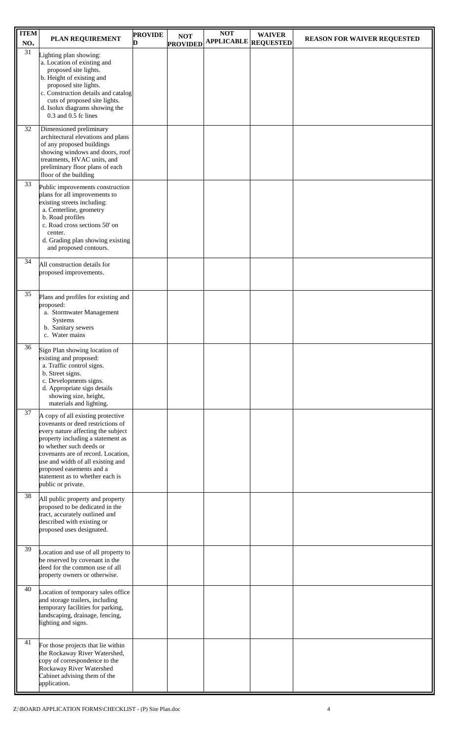| <b>ITEM</b><br>NO. | PLAN REQUIREMENT                                                        | <b>PROVIDE</b><br>D | <b>NOT</b>      | <b>NOT</b><br><b>APPLICABLE</b> REQUESTED | <b>WAIVER</b> | <b>REASON FOR WAIVER REQUESTED</b> |
|--------------------|-------------------------------------------------------------------------|---------------------|-----------------|-------------------------------------------|---------------|------------------------------------|
| $\overline{31}$    | Lighting plan showing:                                                  |                     | <b>PROVIDED</b> |                                           |               |                                    |
|                    | a. Location of existing and<br>proposed site lights.                    |                     |                 |                                           |               |                                    |
|                    | b. Height of existing and<br>proposed site lights.                      |                     |                 |                                           |               |                                    |
|                    | c. Construction details and catalog                                     |                     |                 |                                           |               |                                    |
|                    | cuts of proposed site lights.<br>d. Isolux diagrams showing the         |                     |                 |                                           |               |                                    |
|                    | 0.3 and 0.5 fc lines                                                    |                     |                 |                                           |               |                                    |
| 32                 | Dimensioned preliminary<br>architectural elevations and plans           |                     |                 |                                           |               |                                    |
|                    | of any proposed buildings<br>showing windows and doors, roof            |                     |                 |                                           |               |                                    |
|                    | treatments, HVAC units, and                                             |                     |                 |                                           |               |                                    |
|                    | preliminary floor plans of each<br>floor of the building                |                     |                 |                                           |               |                                    |
| 33                 | Public improvements construction                                        |                     |                 |                                           |               |                                    |
|                    | plans for all improvements to<br>existing streets including:            |                     |                 |                                           |               |                                    |
|                    | a. Centerline, geometry<br>b. Road profiles                             |                     |                 |                                           |               |                                    |
|                    | c. Road cross sections 50' on<br>center.                                |                     |                 |                                           |               |                                    |
|                    | d. Grading plan showing existing                                        |                     |                 |                                           |               |                                    |
| 34                 | and proposed contours.                                                  |                     |                 |                                           |               |                                    |
|                    | All construction details for<br>proposed improvements.                  |                     |                 |                                           |               |                                    |
|                    |                                                                         |                     |                 |                                           |               |                                    |
| 35                 | Plans and profiles for existing and<br>proposed:                        |                     |                 |                                           |               |                                    |
|                    | a. Stormwater Management                                                |                     |                 |                                           |               |                                    |
|                    | Systems<br>b. Sanitary sewers                                           |                     |                 |                                           |               |                                    |
|                    | c. Water mains                                                          |                     |                 |                                           |               |                                    |
| 36                 | Sign Plan showing location of<br>existing and proposed:                 |                     |                 |                                           |               |                                    |
|                    | a. Traffic control signs.<br>b. Street signs.                           |                     |                 |                                           |               |                                    |
|                    | c. Developments signs.                                                  |                     |                 |                                           |               |                                    |
|                    | d. Appropriate sign details<br>showing size, height,                    |                     |                 |                                           |               |                                    |
| 37                 | materials and lighting.                                                 |                     |                 |                                           |               |                                    |
|                    | A copy of all existing protective<br>covenants or deed restrictions of  |                     |                 |                                           |               |                                    |
|                    | every nature affecting the subject<br>property including a statement as |                     |                 |                                           |               |                                    |
|                    | to whether such deeds or<br>covenants are of record. Location,          |                     |                 |                                           |               |                                    |
|                    | use and width of all existing and                                       |                     |                 |                                           |               |                                    |
|                    | proposed easements and a<br>statement as to whether each is             |                     |                 |                                           |               |                                    |
| 38                 | public or private.                                                      |                     |                 |                                           |               |                                    |
|                    | All public property and property<br>proposed to be dedicated in the     |                     |                 |                                           |               |                                    |
|                    | tract, accurately outlined and<br>described with existing or            |                     |                 |                                           |               |                                    |
|                    | proposed uses designated.                                               |                     |                 |                                           |               |                                    |
| 39                 |                                                                         |                     |                 |                                           |               |                                    |
|                    | Location and use of all property to<br>be reserved by covenant in the   |                     |                 |                                           |               |                                    |
|                    | deed for the common use of all<br>property owners or otherwise.         |                     |                 |                                           |               |                                    |
| 40                 | Location of temporary sales office                                      |                     |                 |                                           |               |                                    |
|                    | and storage trailers, including                                         |                     |                 |                                           |               |                                    |
|                    | temporary facilities for parking,<br>landscaping, drainage, fencing,    |                     |                 |                                           |               |                                    |
|                    | lighting and signs.                                                     |                     |                 |                                           |               |                                    |
| 41                 | For those projects that lie within                                      |                     |                 |                                           |               |                                    |
|                    | the Rockaway River Watershed,<br>copy of correspondence to the          |                     |                 |                                           |               |                                    |
|                    | Rockaway River Watershed<br>Cabinet advising them of the                |                     |                 |                                           |               |                                    |
|                    | application.                                                            |                     |                 |                                           |               |                                    |